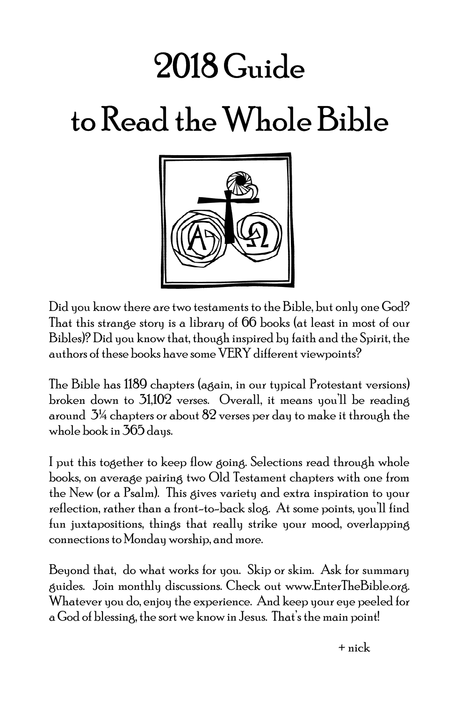## 2018 Guide to Read the Whole Bible



Did you know there are two testaments to the Bible, but only one God? That this strange story is a library of 66 books (at least in most of our Bibles)? Did you know that, though inspired by faith and the Spirit, the authors of these books have some VERY different viewpoints?

The Bible has 1189 chapters (again, in our typical Protestant versions) broken down to 31,102 verses. Overall, it means you'll be reading around  $3\%$  chapters or about  $82$  verses per day to make it through the whole book in 365 days.

I put this together to keep flow going. Selections read through whole books, on average pairing two Old Testament chapters with one from the New (or a Psalm). This gives variety and extra inspiration to your reflection, rather than a front-to-back slog. At some points, you'll find fun juxtapositions, things that really strike your mood, overlapping connections to Monday worship, and more.

Beyond that, do what works for you. Skip or skim. Ask for summary guides. Join monthly discussions. Check out www.EnterTheBible.org. Whatever you do, enjoy the experience. And keep your eye peeled for a God of blessing, the sort we know in Jesus. That's the main point!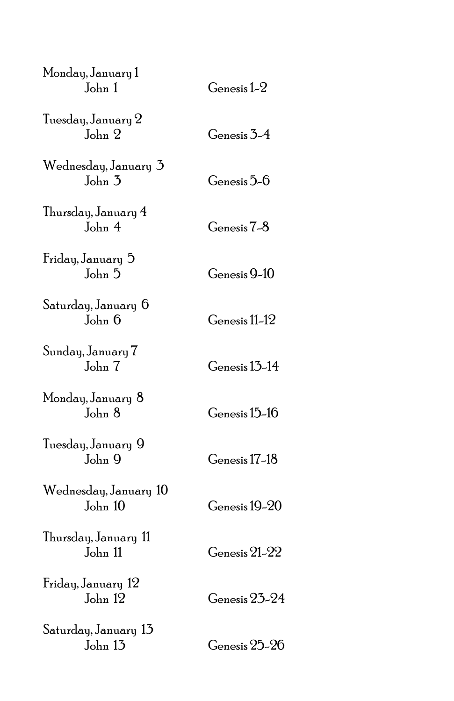| Monday, January 1<br>John 1      | Genesis 1-2   |
|----------------------------------|---------------|
| Tuesday, January 2<br>John 2     | Genesis 3-4   |
| Wednesday, January 3<br>John 3   | Genesis 5-6   |
| Thursday, January 4<br>John 4    | Genesis 7-8   |
| Friday, January 5<br>John 5      | Genesis 9-10  |
| Saturday, January 6<br>John 6    | Genesis 11-12 |
| Sunday, January 7<br>John 7      | Genesis 13-14 |
| Monday, January 8<br>John 8      | Genesis 15-16 |
| Tuesday, January 9<br>John 9     | Genesis 17-18 |
| Wednesday, January 10<br>John 10 | Genesis 19-20 |
| Thursday, January 11<br>John 11  | Genesis 21-22 |
| Friday, January 12<br>John 12    | Genesis 23-24 |
| Saturday, January 13<br>John 13  | Genesis 25-26 |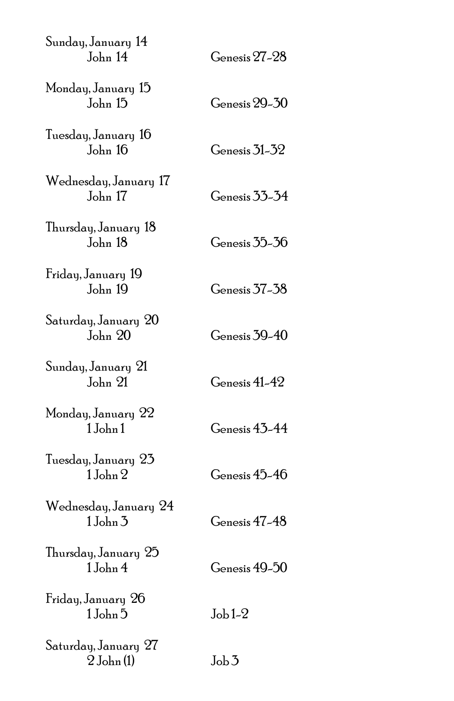| Sunday, January 14<br>John 14         | Genesis 27–28  |
|---------------------------------------|----------------|
| Monday, January 15<br>John 15         | Genesis 29-30  |
| Tuesday, January 16<br>John 16        | Genesis 31–32  |
| Wednesday, January 17<br>John 17      | Genesis 33-34  |
| Thursday, January 18<br>John 18       | Genesis 35-36  |
| Friday, January 19<br>John 19         | Genesis 37–38  |
| Saturday, January 20<br>John 20       | Genesis 39-40  |
| Sunday, January 21<br>John 21         | Genesis 41-42  |
| Monday, January 22<br>1John1          | Genesis 43-44  |
| Tuesday, January 23<br>1John 2        | Genesis 45-46  |
| Wednesday, January 24<br>$1$ John $3$ | Genesis 47-48  |
| Thursday, January 25<br>1 John 4      | Genesis 49-50  |
| Friday, January 26<br>1John 5         | $Job1-2$       |
| Saturday, January 27<br>$2$ John (1)  | $J_{\rm ob} 3$ |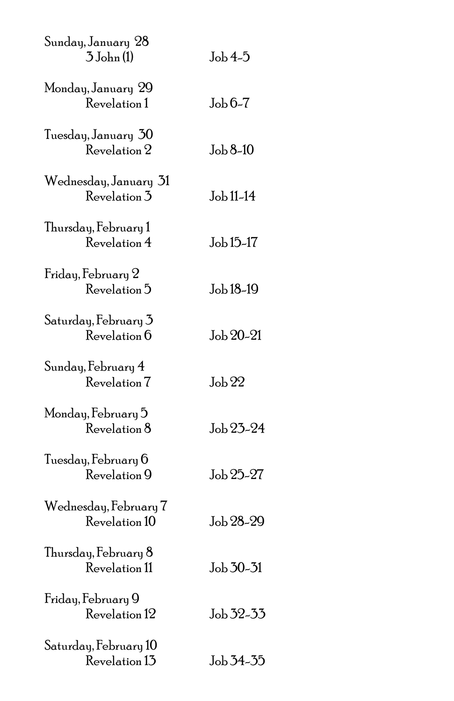| Sunday, January 28<br>$3$ John $(1)$   | $Job4-5$           |
|----------------------------------------|--------------------|
| Monday, January 29<br>Revelation 1     | $Job 6-7$          |
| Tuesday, January 30<br>Revelation 2    | Job 8-10           |
| Wednesday, January 31<br>Revelation 3  | Job 11-14          |
| Thursday, February 1<br>Revelation 4   | Job 15-17          |
| Friday, February 2<br>Revelation 5     | Job 18-19          |
| Saturday, February 3<br>Revelation 6   | Job 20-21          |
| Sunday, February 4<br>Revelation 7     | $\mathrm{Job}\,22$ |
| Monday, February 5<br>Revelation 8     | Job 23-24          |
| Tuesday, February 6<br>Revelation 9    | Job 25-27          |
| Wednesday, February 7<br>Revelation 10 | Job 28-29          |
| Thursday, February 8<br>Revelation 11  | Job 30-31          |
| Friday, February 9<br>Revelation 12    | Job 32-33          |
| Saturday, February 10<br>Revelation 13 | Job 34-35          |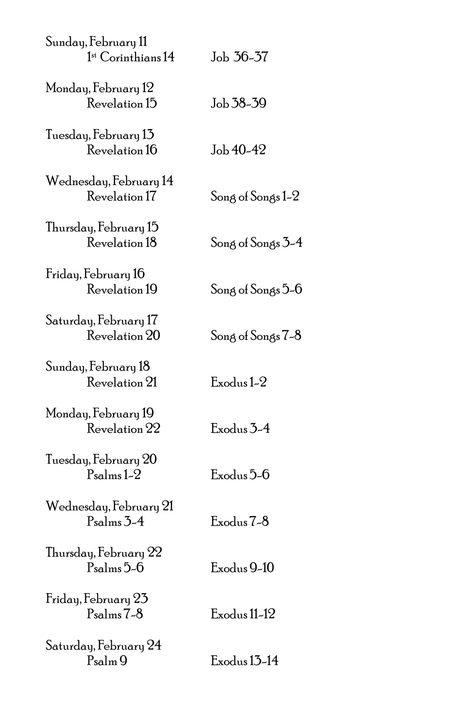| Sunday, February 11<br>$1st$ Corinthians 14      | Job 36-37         |
|--------------------------------------------------|-------------------|
| Monday, February 12<br>Revelation 15             | Job 38-39         |
| Tuesday, February 13<br>Revelation 16            | Job 40-42         |
| Wednesday, February 14<br>Revelation 17          | Song of Songs 1-2 |
| Thursday, February 15<br>Revelation 18           | Song of Songs 3-4 |
| Friday, February 16<br>Revelation 19             | Song of Songs 5-6 |
| Saturday, February 17<br>Revelation 20           | Song of Songs 7-8 |
| Sunday, February 18<br>Revelation 21             | Exodus 1-2        |
| Monday, February 19<br>Revelation 22             | Exodus 3-4        |
| Tuesday, February 20<br>$Psalms 1-2$             | Exodus 5-6        |
| Wednesday, February 21<br>$P_{\text{salms}} 3-4$ | Exodus 7-8        |
| Thursday, February 22<br>$Psalms 5-6$            | Exodus 9-10       |
| Friday, February 23<br>$Psalms 7-8$              | Exodus 11-12      |
| Saturday, February 24<br>Psalm 9                 | Exodus 13-14      |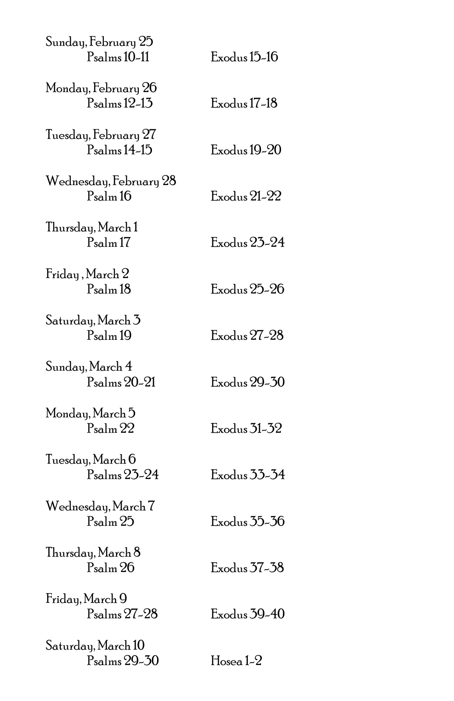| Sunday, February 25<br>Psalms 10-11             | Exodus 15-16        |
|-------------------------------------------------|---------------------|
| Monday, February 26<br>$P_{\text{salms}}$ 12-13 | Exodus 17-18        |
| Tuesday, February 27<br>$Psalms14-15$           | Exodus 19-20        |
| Wednesday, February 28<br>$P_{\rm salm}$ 16     | Exodus 21-22        |
| Thursday, March 1<br>$P_{\rm salm}$ 17          | Exodus 23-24        |
| Friday, March 2<br>$P_{\rm salm}$ 18            | Exodus 25-26        |
| Saturday, March 3<br>$P_{\rm salm}$ 19          | Exodus 27-28        |
| Sunday, March 4<br>$Psalms 20-21$               | Exodus 29-30        |
| Monday, March 5<br>$P_{\rm salm}$ $22$          | Exodus 31-32        |
| Tuesday, March 6<br>Psalms 23-24                | Exodus 33-34        |
| Wednesday, March 7<br>$P_{\rm salm}$ $25$       | Exodus 35-36        |
| Thursday, March 8<br>Psalm 26                   | Exodus 37–38        |
| Friday, March 9<br>Psalms 27-28                 | Exodus 39-40        |
| Saturday, March 10<br>Psalms 29-30              | $\rm H$ osea 1- $2$ |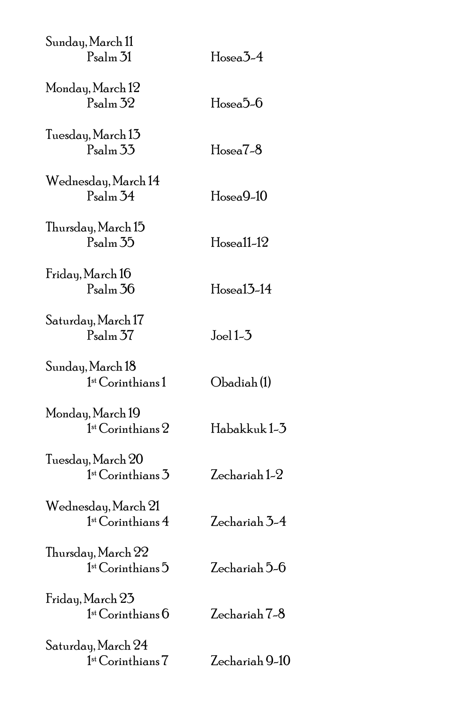| Sunday, March 11<br>$P_{\rm salm}$ 31                | $Hosea3-4$     |
|------------------------------------------------------|----------------|
| Monday, March 12<br>$P_{\rm salm}$ 32                | $Hosea5-6$     |
| Tuesday, March 13<br>$P_{\rm salm}$ 33               | $Hosea7-8$     |
| Wednesday, March 14<br>$P_{\text{salm}}$ 34          | $Hosea9-10$    |
| Thursday, March 15<br>$P_{\rm salm}$ 35              | $Hosea11-12$   |
| Friday, March 16<br>$P_{\text{salm}}$ 36             | $Hosea13-14$   |
| Saturday, March 17<br>$P_{\rm salm}$ 37              | $Joel 1-3$     |
| Sunday, March 18<br>$1st$ Corinthians $1$            | Obadiah (1)    |
| Monday, March 19<br>1 <sup>st</sup> Corinthians 2    | Habakkuk 1-3   |
| Tuesday, March 20<br>1 <sup>st</sup> Corinthians 3   | Zechariah 1-2  |
| Wednesday, March 21<br>1 <sup>st</sup> Corinthians 4 | Zechariah 3-4  |
| Thursday, March 22<br>$1st$ Corinthians $5$          | Zechariah 5-6  |
| Friday, March 23<br>1 <sup>st</sup> Corinthians 6    | Zechariah 7-8  |
| Saturday, March 24<br>1st Corinthians 7              | Zechariah 9-10 |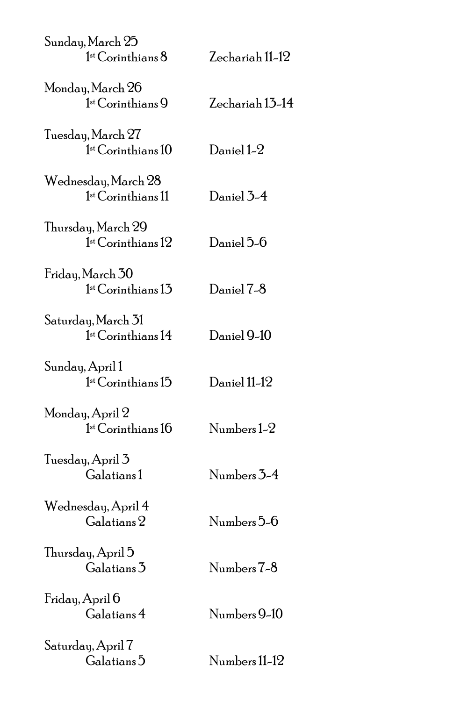| Sunday, March 25<br>1 <sup>st</sup> Corinthians 8    | Zechariah 11-12 |
|------------------------------------------------------|-----------------|
| Monday, March 26<br>$1st Corinthians9$               | Zechariah 13-14 |
| Tuesday, March 27<br>1 <sup>st</sup> Corinthians 10  | Daniel 1-2      |
| Wednesday, March 28<br>$1st$ Corinthians $11$        | Daniel 3-4      |
| Thursday, March 29<br>1 <sup>st</sup> Corinthians 12 | Daniel 5-6      |
| Friday, March 30<br>1 <sup>st</sup> Corinthians 13   | Daniel 7-8      |
| Saturday, March 31<br>1 <sup>st</sup> Corinthians 14 | Daniel 9-10     |
| Sunday, April 1<br>1 <sup>st</sup> Corinthians 15    | Daniel 11-12    |
| Monday, April 2<br>1 <sup>st</sup> Corinthians 16    | Numbers 1-2     |
| Tuesday, April 3<br>Galatians1                       | Numbers 3-4     |
| Wednesday, April 4<br>$\rm Galatians\,2$             | Numbers 5-6     |
| Thursday, April 5<br>Galatians 3                     | Numbers 7-8     |
| Friday, April 6<br>Galatians 4                       | Numbers 9-10    |
| Saturday, April 7<br>Galatians <sup>5</sup>          | Numbers 11-12   |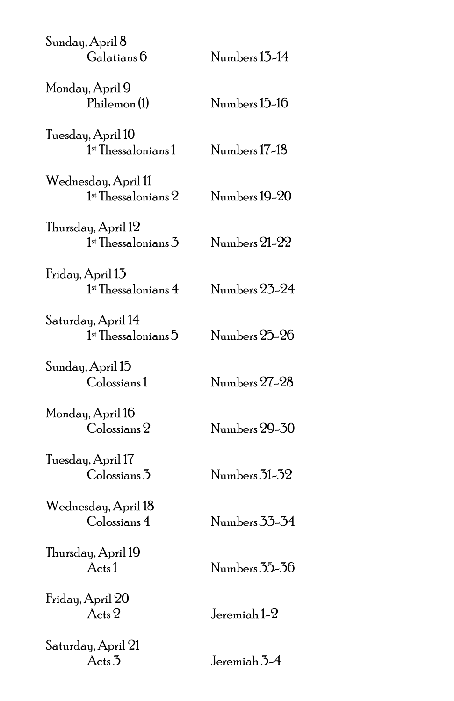| Sunday, April 8<br>Galatians 6                           | Numbers 13-14 |
|----------------------------------------------------------|---------------|
| Monday, April 9<br>Philemon(1)                           | Numbers 15-16 |
| Tuesday, April 10<br>$1$ <sup>st</sup> Thessalonians $1$ | Numbers 17-18 |
| Wednesday, April 11<br>$1st$ Thessalonians $2$           | Numbers 19-20 |
| Thursday, April 12<br>$1st$ Thessalonians $3$            | Numbers 21-22 |
| Friday, April 13<br>$1st$ Thessalonians 4                | Numbers 23-24 |
| Saturday, April 14<br>$1st$ Thessalonians $5$            | Numbers 25-26 |
| Sunday, April 15<br>Colossians 1                         | Numbers 27-28 |
| Monday, April 16<br>$\mathrm{Col}$ ossians $2$           | Numbers 29-30 |
| Tuesday, April 17<br>$\text{Colossians}\,3$              | Numbers 31-32 |
| Wednesday, April 18<br>Colossians 4                      | Numbers 33-34 |
| Thursday, April 19<br>Acts1                              | Numbers 35-36 |
| Friday, April 20<br>$Acts$ 2                             | Jeremiah 1-2  |
| Saturday, April 21<br>$Acts$ <sup>3</sup>                | Jeremiah 3-4  |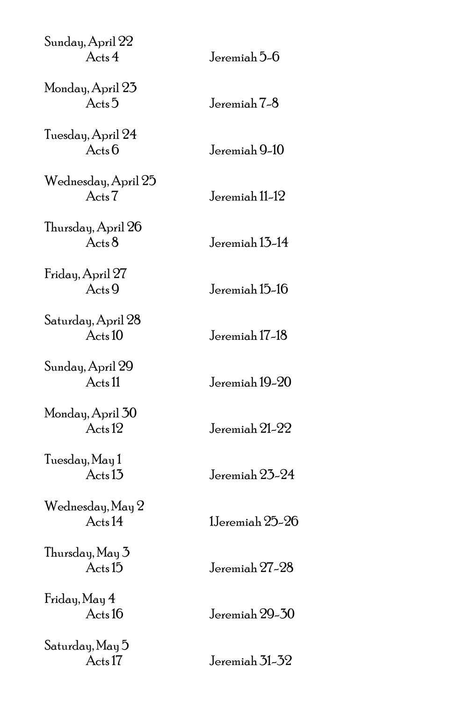| Sunday, April 22<br>Acts4                 | Jeremiah 5-6    |
|-------------------------------------------|-----------------|
| Monday, April 23<br>Acts <sub>5</sub>     | Jeremiah 7-8    |
| Tuesday, April 24<br>Acts6                | Jeremiah 9-10   |
| Wednesday, April 25<br>Acts7              | Jeremiah 11-12  |
| Thursday, April 26<br>$Acts$ <sup>8</sup> | Jeremiah 13-14  |
| Friday, April 27<br>Acts9                 | Jeremiah 15-16  |
| Saturday, April 28<br>Acts10              | Jeremiah 17-18  |
| Sunday, April 29<br>Acts <sub>11</sub>    | Jeremiah 19-20  |
| Monday, April 30<br>Acts <sub>12</sub>    | Jeremiah 21-22  |
| Tuesday, May 1<br>Acts <sub>13</sub>      | Jeremiah 23-24  |
| Wednesday, May 2<br>Acts 14               | 1Jeremiah 25-26 |
| Thursday, May 3<br>Acts <sub>15</sub>     | Jeremiah 27-28  |
| Friday, May 4<br>Acts16                   | Jeremiah 29-30  |
| Saturday, May 5<br>Acts 17                | Jeremiah 31-32  |
|                                           |                 |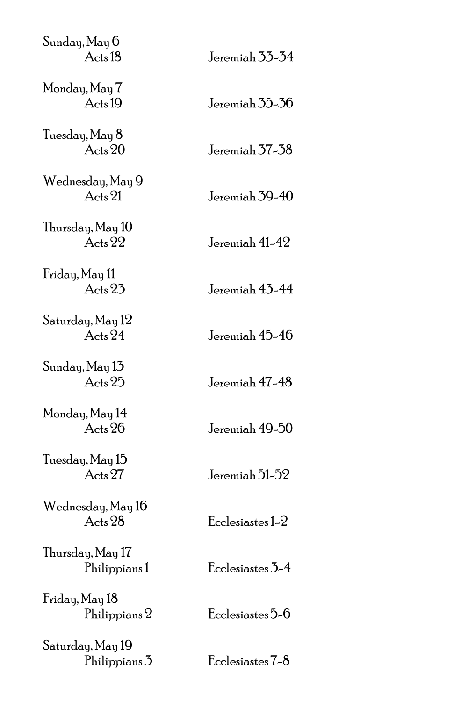| Sunday, May 6<br>Acts <sub>18</sub> | Jeremiah 33-34   |
|-------------------------------------|------------------|
| Monday, May 7<br>Acts 19            | Jeremiah 35-36   |
| Tuesday, May 8<br>Acts 20           | Jeremiah 37-38   |
| Wednesday, May 9<br>Acts 21         | Jeremiah 39-40   |
| Thursday, May 10<br>Acts 22         | Jeremiah 41-42   |
| Friday, May 11<br>Acts 23           | Jeremiah 43-44   |
| Saturday, May 12<br>Acts 24         | Jeremiah 45-46   |
| Sunday, May 13<br>Acts 25           | Jeremiah 47-48   |
| Monday, May 14<br>Acts 26           | Jeremiah 49-50   |
| Tuesday, May 15<br>Acts 27          | Jeremiah 51-52   |
| Wednesday, May 16<br>Acts 28        | Ecclesiastes 1-2 |
| Thursday, May 17<br>Philippians1    | Ecclesiastes 3-4 |
| Friday, May 18<br>Philippians 2     | Ecclesiastes 5-6 |
| Saturday, May 19<br>Philippians 3   | Ecclesiastes 7-8 |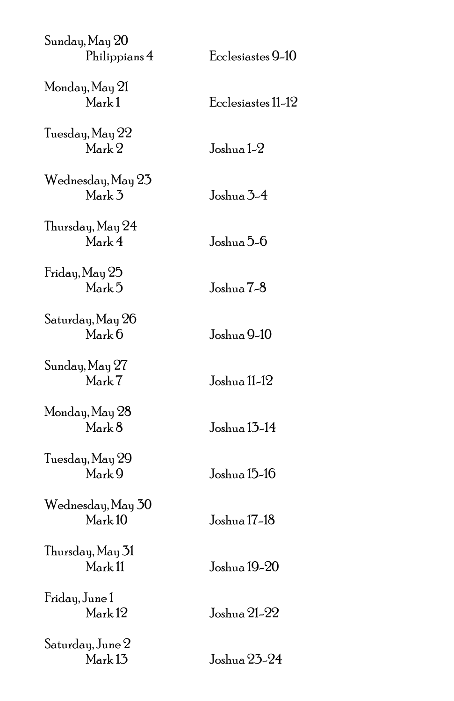| Sunday, May 20<br>Philippians 4            | Ecclesiastes 9-10  |
|--------------------------------------------|--------------------|
| Monday, May 21<br>Mark1                    | Ecclesiastes 11-12 |
| Tuesday, May 22<br>Mark 2                  | Joshua 1–2         |
| Wednesday, May 23<br>Mark 3                | Joshua 3-4         |
| Thursday, May 24<br>Mark 4                 | Joshua 5-6         |
| Friday, May 25<br>Mark 5                   | Joshua 7-8         |
| Saturday, May 26<br>$M$ <sub>ark</sub> $6$ | Joshua 9-10        |
| Sunday, May 27<br>Mark 7                   | Joshua 11-12       |
| Monday, May 28<br>Mark 8                   | Joshua 13-14       |
| Tuesday, May 29<br>Mark 9                  | Joshua 15-16       |
| Wednesday, May 30<br>Mark 10               | Joshua 17-18       |
| Thursday, May 31<br>Mark <sub>11</sub>     | Joshua 19-20       |
| Friday, June 1<br>Mark <sub>12</sub>       | Joshua 21–22       |
| Saturday, June 2<br>Mark <sub>13</sub>     | Joshua 23-24       |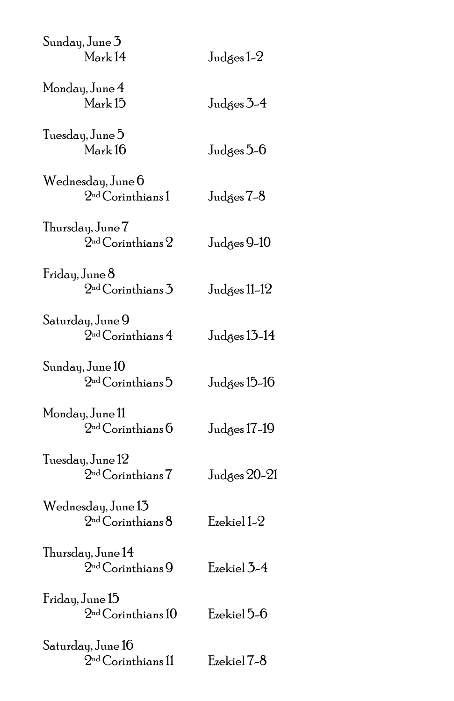| Sunday, June 3<br>Mark14                            | Judges 1–2   |
|-----------------------------------------------------|--------------|
| Monday, June 4<br>Mark <sub>15</sub>                | Judges 3-4   |
| Tuesday, June 5<br>Mark16                           | Judges 5–6   |
| Wednesday, June 6<br>2 <sup>nd</sup> Corinthians1   | Judges 7-8   |
| Thursday, June 7<br>2 <sup>nd</sup> Corinthians 2   | Judges 9-10  |
| Friday, June 8<br>2 <sup>nd</sup> Corinthians 3     | Judges 11-12 |
| Saturday, June 9<br>2 <sup>nd</sup> Corinthians 4   | Judges 13-14 |
| Sunday, June 10<br>2 <sup>nd</sup> Corinthians 5    | Judges 15–16 |
| Monday, June 11<br>2 <sup>nd</sup> Corinthians 6    | Judges 17-19 |
| Tuesday, June 12<br>2 <sup>nd</sup> Corinthians 7   | Judges 20-21 |
| Wednesday, June 13<br>2 <sup>nd</sup> Corinthians 8 | Ezekiel 1-2  |
| Thursday, June 14<br>2 <sup>nd</sup> Corinthians 9  | Ezekiel 3-4  |
| Friday, June 15<br>2 <sup>nd</sup> Corinthians 10   | Ezekiel 5-6  |
| Saturday, June 16<br>2 <sup>nd</sup> Corinthians 11 | Ezekiel 7-8  |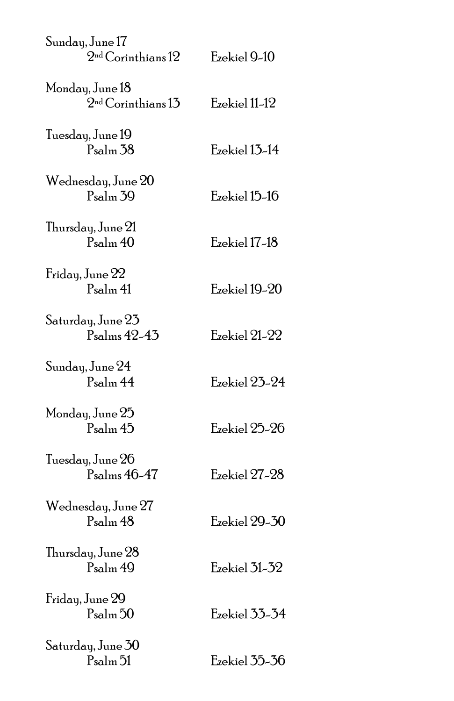| Sunday, June 17<br>2 <sup>nd</sup> Corinthians 12 | Ezekiel 9-10  |
|---------------------------------------------------|---------------|
| Monday, June 18<br>$2nd$ Corinthians 13           | Ezekiel 11-12 |
| Tuesday, June 19<br>$P_{\rm salm}$ 38             | Ezekiel 13-14 |
| Wednesday, June 20<br>$P_{\rm salm}$ 39           | Ezekiel 15-16 |
| Thursday, June 21<br>$P_{\rm salm}$ 40            | Ezekiel 17-18 |
| Friday, June 22<br>$P_{\rm salm}$ 41              | Ezekiel 19-20 |
| Saturday, June 23<br>$Ps$ alms 42-43              | Ezekiel 21-22 |
| Sunday, June 24<br>$P_{\text{salm}}$ 44           | Ezekiel 23-24 |
| Monday, June 25<br>Psalm 45                       | Ezekiel 25-26 |
| Tuesday, June 26<br>Psalms 46-47                  | Ezekiel 27-28 |
| Wednesday, June 27<br>Psalm <sub>48</sub>         | Ezekiel 29-30 |
| Thursday, June 28<br>Psalm 49                     | Ezekiel 31-32 |
| Friday, June 29<br>$P_{\rm salm}$ 50              | Ezekiel 33-34 |
| Saturday, June 30<br>$P_{\rm salm}$ 51            | Ezekiel 35-36 |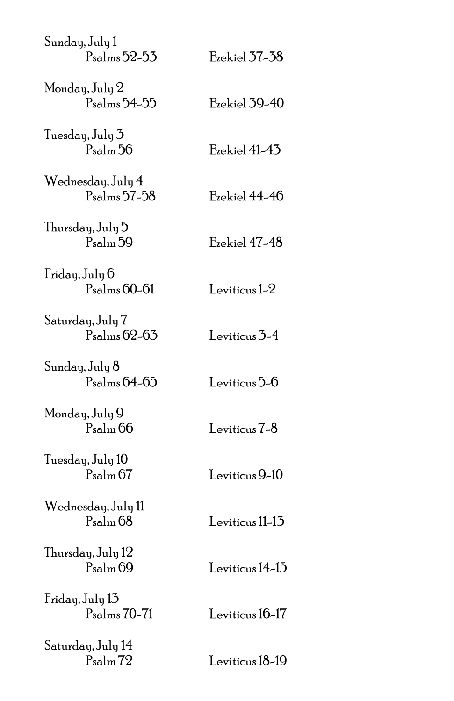| Sunday, July 1<br>Psalms 52-53             | Ezekiel 37–38   |
|--------------------------------------------|-----------------|
| Monday, July 2<br>P <sub>salms</sub> 54-55 | Ezekiel 39-40   |
| Tuesday, July 3<br>$P_{\rm salm}$ 56       | Ezekiel 41-43   |
| Wednesday, July 4<br>Psalms 57-58          | Ezekiel 44-46   |
| Thursday, July 5<br>$P_{\rm salm}$ 59      | Ezekiel 47-48   |
| Friday, July 6<br>$Psalms 60-61$           | Leviticus $1-2$ |
| Saturday, July 7<br>Psalms 62-63           | Leviticus 3-4   |
| Sunday, July 8<br>$Psalms 64-65$           | Leviticus 5-6   |
| Monday, July 9<br>$P_{\rm salm}$ 66        | Leviticus 7-8   |
| Tuesday, July 10<br>$P_{\rm salm}$ 67      | Leviticus 9-10  |
| Wednesday, July 11<br>$P_{\rm salm}$ 68    | Leviticus 11-13 |
| Thursday, July 12<br>Psalm <sub>69</sub>   | Leviticus 14-15 |
| Friday, July 13<br>$Psalms 70-71$          | Leviticus 16-17 |
| Saturday, July 14<br>Psalm <sub>72</sub>   | Leviticus 18-19 |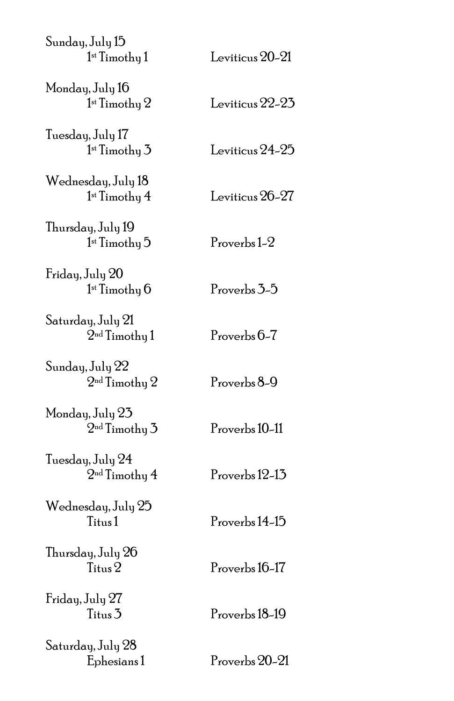| Leviticus 20-21 |
|-----------------|
| Leviticus 22-23 |
| Leviticus 24-25 |
| Leviticus 26-27 |
| Proverbs 1-2    |
| Proverbs 3-5    |
| Proverbs 6-7    |
| Proverbs 8-9    |
| Proverbs 10-11  |
| Proverbs 12-13  |
| Proverbs 14-15  |
| Proverbs 16-17  |
| Proverbs 18-19  |
| Proverbs 20-21  |
|                 |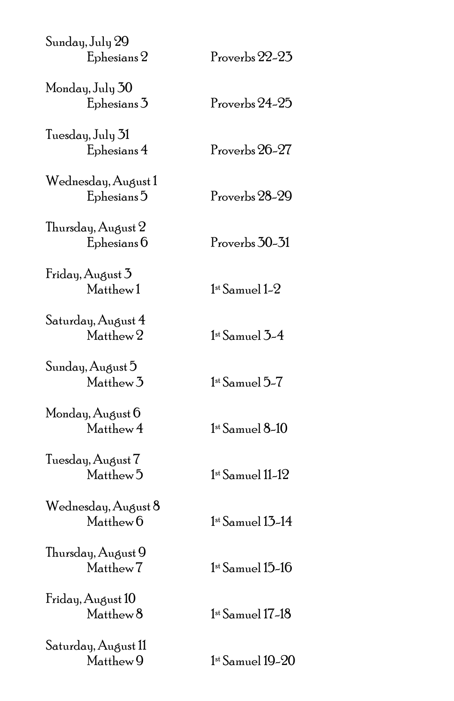| Sunday, July 29<br>Ephesians 2                | Proverbs 22-23                       |
|-----------------------------------------------|--------------------------------------|
| Monday, July 30<br>Ephesians 3                | Proverbs 24-25                       |
| Tuesday, July 31<br>Ephesians 4               | Proverbs 26-27                       |
| Wednesday, August 1<br>Ephesians <sup>5</sup> | Proverbs 28-29                       |
| Thursday, August 2<br>Ephesians 6             | Proverbs 30-31                       |
| Friday, August 3<br>Matthew1                  | $1st$ Samuel $1-2$                   |
| Saturday, August 4<br>Matthew <sub>2</sub>    | $1st$ Samuel $3-4$                   |
| Sunday, August 5<br>Matthew <sub>3</sub>      | $1st$ Samuel $5-7$                   |
| Monday, August 6<br>Matthew 4                 | $1st$ Samuel $8-10$                  |
| Tuesday, August 7<br>Matthew <sup>5</sup>     | $1st$ Samuel $11-12$                 |
| Wednesday, August 8<br>Matthew <sub>0</sub>   | $1st$ Samuel $13-14$                 |
| Thursday, August 9<br>Matthew <sub>7</sub>    | $1$ <sup>st</sup> Samuel $15$ – $16$ |
| Friday, August 10<br>Matthew <sup>8</sup>     | 1st Samuel 17–18                     |
| Saturday, August 11<br>Matthew <sup>9</sup>   | $1$ st Samuel $19-20$                |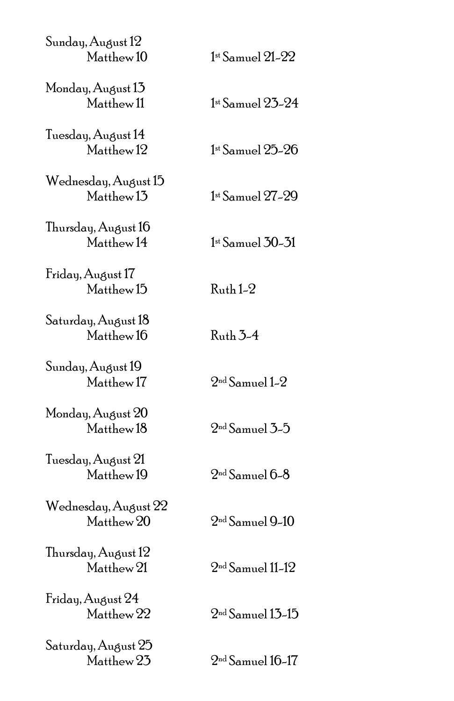| $1st$ Samuel $21-22$                 |
|--------------------------------------|
| $1st$ Samuel 23-24                   |
| $1$ <sup>st</sup> Samuel $25$ - $26$ |
| $1st$ Samuel $27-29$                 |
| $1$ <sup>st</sup> Samuel $30-31$     |
| $Ruth 1-2$                           |
| Ruth 3-4                             |
| $2nd$ Samuel 1-2                     |
| $2nd$ Samuel $3-5$                   |
| $2nd$ Samuel 0-8                     |
| $2nd$ Samuel 9-10                    |
| $2nd$ Samuel 11-12                   |
| $2nd$ Samuel 13-15                   |
| $2nd$ Samuel 16-17                   |
|                                      |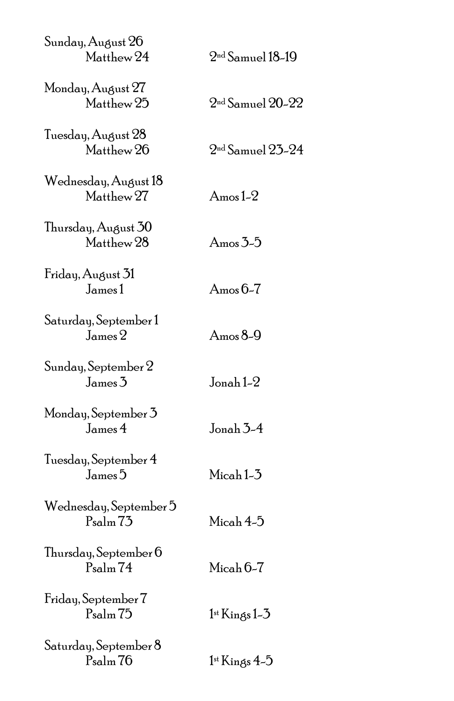| Sunday, August 26<br>Matthew 24              | $2nd$ Samuel 18-19          |
|----------------------------------------------|-----------------------------|
| Monday, August 27<br>Matthew 25              | $2nd$ Samuel $20-22$        |
| Tuesday, August 28<br>Matthew 26             | $2nd$ Samuel $25-24$        |
| Wednesday, August 18<br>Matthew 27           | Amos 1-2 $\,$               |
| Thursday, August 30<br>Matthew <sub>28</sub> | Amos $3-5$                  |
| Friday, August 31<br>James 1                 | Amos $6-7$                  |
| Saturday, September 1<br>${\rm James}\,2$    | Amos $8-9$                  |
| Sunday, September 2<br>James3                | Jonah $1-2$                 |
| Monday, September 3<br>James 4               | Jonah $3-4$                 |
| Tuesday, September 4<br>James <sup>5</sup>   | Micah1-3                    |
| Wednesday, September 5<br>$P_{\rm salm}$ 73  | Micah $4-5$                 |
| Thursday, September 6<br>Psalm <sub>74</sub> | $Micah 6-7$                 |
| Friday, September 7<br>Psalm <sub>75</sub>   | $1$ <sup>st</sup> Kings 1–3 |
| Saturday, September 8<br>Psalm <sub>76</sub> | $1$ <sup>st</sup> Kings 4–5 |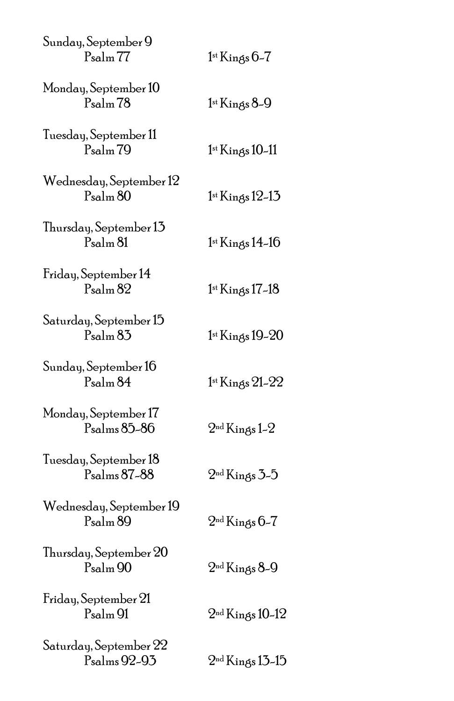| Sunday, September 9<br>$P_{\text{salm}}$ $77$ | $1$ <sup>st</sup> Kings $6-7$   |
|-----------------------------------------------|---------------------------------|
| Monday, September 10<br>$P_{\text{salm}}$ 78  | $1$ <sup>st</sup> Kings $8-9$   |
| Tuesday, September 11<br>$P_{\rm salm}$ 79    | $1$ <sup>st</sup> Kings 10-11   |
| Wednesday, September 12<br>$P_{\rm salm}$ 80  | $1$ <sup>st</sup> Kings $12-13$ |
| Thursday, September 13<br>Psalm 81            | 1st Kings 14-16                 |
| Friday, September 14<br>$P_{\rm salm}$ 82     | 1st Kings 17-18                 |
| Saturday, September 15<br>$P_{\rm salm}$ 83   | 1st Kings 19-20                 |
| Sunday, September 16<br>$P_{\rm salm} 84$     | 1st Kings 21-22                 |
| Monday, September 17<br>Psalms 85-86          | $2nd$ Kings 1-2                 |
| Tuesday, September 18<br>Psalms 87-88         | $2nd$ Kings 3-5                 |
| Wednesday, September 19<br>$P_{\rm salm}$ 89  | $2nd$ Kings 6-7                 |
| Thursday, September 20<br>Psalm <sub>90</sub> | $2nd$ Kings 8-9                 |
| Friday, September 21<br>Psalm 91              | $2nd$ Kings 10-12               |
| Saturday, September 22<br>Psalms 92-93        | $2nd$ Kings 13-15               |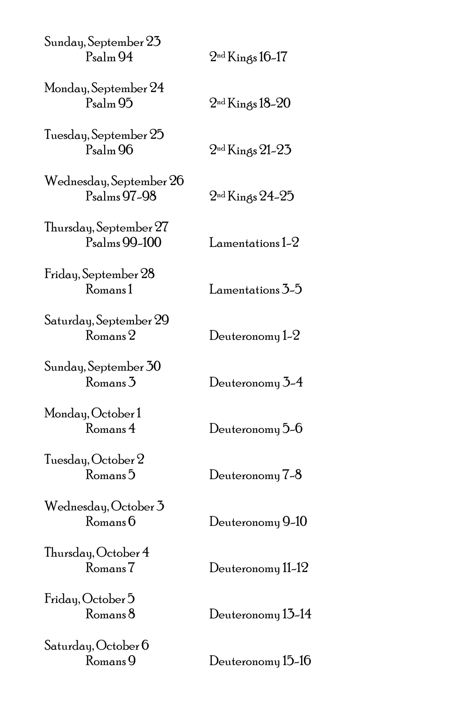| Sunday, September 23<br>Psalm 94                    | $2nd$ Kings 16-17                  |
|-----------------------------------------------------|------------------------------------|
| Monday, September 24<br>$P_{\text{salm}}$ 95        | $2nd$ Kings 18-20                  |
| Tuesday, September 25<br>$P_{\rm salm}$ 96          | $2nd$ Kings 21-23                  |
| Wednesday, September 26<br>P <sub>salms</sub> 97-98 | $2nd$ Kings 24-25                  |
| Thursday, September 27<br>Psalms 99-100             | $L$ amentations 1-2                |
| Friday, September 28<br>Romans1                     | ${\rm Lamen}$ tations $5\text{-}5$ |
| Saturday, September 29<br>$\rm{Romans}$ $2$         | Deuteronomy $1-2$                  |
| Sunday, September 30<br>Romans <sup>3</sup>         | Deuteronomy 3-4                    |
| Monday, October 1<br>Romans 4                       | Deuteronomy 5-6                    |
| Tuesday, October 2<br>Romans <sup>5</sup>           | Deuteronomy 7-8                    |
| Wednesday, October 3<br>Romans 6                    | Deuteronomy 9-10                   |
| Thursday, October 4<br>Romans <sub>7</sub>          | Deuteronomy 11-12                  |
| Friday, October 5<br>Romans <sup>8</sup>            | Deuteronomy 13-14                  |
| Saturday, October 6<br>Romans 9                     | Deuteronomy 15-16                  |
|                                                     |                                    |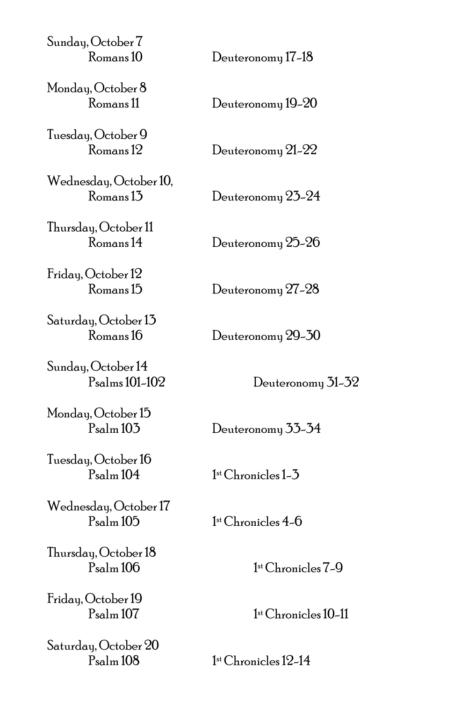| Sunday, October 7<br>Romans <sub>10</sub> | Deuteronomy 17-18 |
|-------------------------------------------|-------------------|
| Monday, October 8<br>Romans 11            | Deuteronomy 19-20 |
| Tuesday, October 9<br>Romans 12           | Deuteronomy 21-22 |
| Wednesday, October 10,<br>Romans 1.3      | Deuteronomy 23-24 |
| Thursday, October 11<br>Romans 14         | Deuteronomy 25-26 |
| Friday, October 12<br>Romans 15           | Deuteronomy 27-28 |
| Saturday, October 13<br>Romans 16         | Deuteronomy 29-30 |
| Sunday, October 14<br>Psalms 101-102      | Deuteronomy 31-32 |

Monday, October 15

Tuesday, October 16

Wednesday, October 17  $P_{\rm salm}$  105  $1<sup>st</sup>$  Chronicles 4-6

Thursday, October 18

Friday, October 19

Saturday, October 20

Psalm 103 Deuteronomy 33-34

Psalm 104 1st Chronicles 1-3

1st Chronicles 7-9

Psalm 107 1st Chronicles 10-11

 $1<sup>st</sup>$  Chronicles 12-14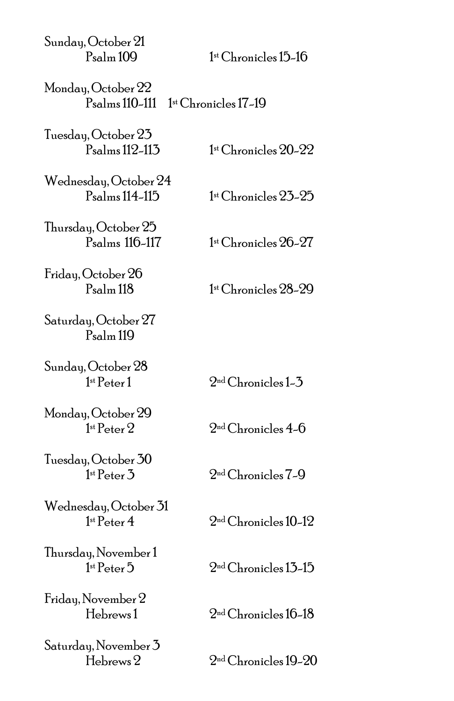| Sunday, October 21<br>$P_{\text{salm}}$ 109         | 1st Chronicles 15–16                                   |
|-----------------------------------------------------|--------------------------------------------------------|
| Monday, October 22<br>$P_{\rm salms}$ 110-111       | 1st Chronicles 17-19                                   |
| Tuesday, October 23<br>Psalms 112-113               | $1$ <sup>st</sup> Chronicles $20-22$                   |
| Wednesday, October 24<br>P <sub>salms</sub> 114-115 | 1st Chronicles 23-25                                   |
| Thursday, October 25<br>Psalms 116-117              | 1st Chronicles 26-27                                   |
| Friday, October 26<br>$P_{\rm salm}$ 118            | 1st Chronicles 28-29                                   |
| Saturday, October 27<br>$P_{\text{salm}}$ 119       |                                                        |
| Sunday, October 28<br>1 <sup>st</sup> Peter 1       | $2nd$ Chronicles 1-3                                   |
| Monday, October 29<br>1 <sup>st</sup> Peter 2       | $2nd$ Chronicles 4-6                                   |
| Tuesday, October 30<br>1 <sup>st</sup> Peter 3      | 2nd Chronicles 7-9                                     |
| Wednesday, October 31<br>1 <sup>st</sup> Peter 4    | $2nd$ Chronicles 10-12                                 |
| Thursday, November 1<br>1 <sup>st</sup> Peter 5     | $2nd$ Chronicles 13-15                                 |
| Friday, November 2<br>Hebrews1                      | $2nd$ Chronicles 16–18                                 |
| Saturday, November 3<br>Hebrews 2                   | $2^{\scriptscriptstyle{\mathrm{nd}}}$ Chronicles 19–20 |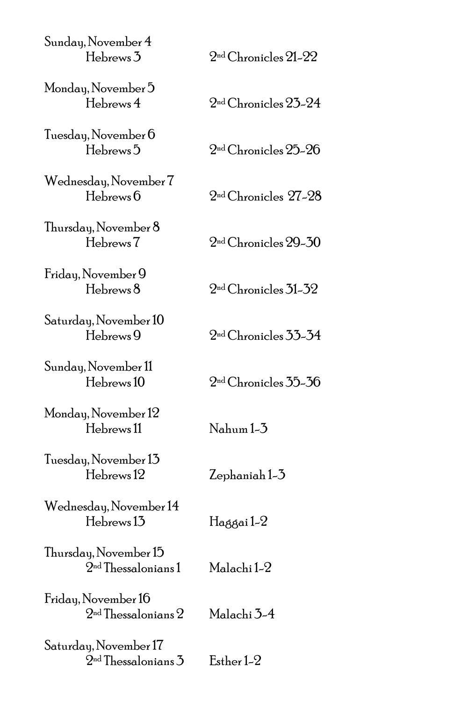| Sunday, November 4<br>Hebrews 3                  | $2nd$ Chronicles $21-22$ |
|--------------------------------------------------|--------------------------|
| Monday, November 5<br>Hebrews 4                  | $2nd$ Chronicles $25-24$ |
| Tuesday, November 6<br>Hebrews <sup>5</sup>      | $2nd$ Chronicles $25-26$ |
| Wednesday, November 7<br>Hebrews 6               | $2nd$ Chronicles $27-28$ |
| Thursday, November 8<br>Hebrews <sub>7</sub>     | $2nd$ Chronicles 29-30   |
| Friday, November 9<br>Hebrews <sup>8</sup>       | $2nd$ Chronicles 31–32   |
| Saturday, November 10<br>Hebrews 9               | $2nd$ Chronicles 33-34   |
| Sunday, November 11<br>Hebrews 10                | $2nd$ Chronicles 35-36   |
| Monday, November 12<br>Hebrews 11                | Nahum 1-3                |
| Tuesday, November 13<br>Hebrews <sup>12</sup>    | Zephaniah 1-3            |
| Wednesday, November 14<br>Hebrews 13             | Haggai 1-2               |
| Thursday, November 15<br>$2nd$ Thessalonians 1   | Malachi 1-2              |
| Friday, November 16<br>$2nd$ Thessalonians $2$   | Malachi 3-4              |
| Saturday, November 17<br>$2nd$ Thessalonians $3$ | Esther 1-2               |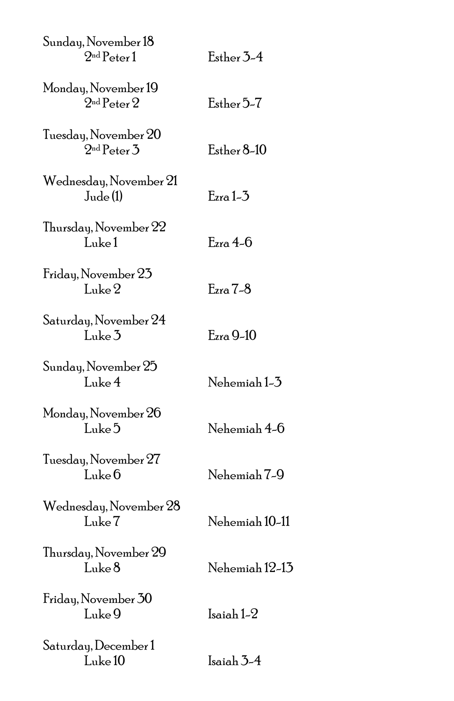| Sunday, November 18<br>2 <sup>nd</sup> Peter 1 | Esther 3-4     |
|------------------------------------------------|----------------|
| Monday, November 19<br>$2nd$ Peter $2$         | Esther 5-7     |
| Tuesday, November 20<br>$2nd$ Peter $3$        | Esther 8–10    |
| Wednesday, November 21<br>Jude(1)              | $E$ zra 1-3    |
| Thursday, November 22<br>Luke 1                | $E$ zra 4-6    |
| Friday, November 23<br>Luke <sub>2</sub>       | $Ezra 7-8$     |
| Saturday, November 24<br>Luke 3                | $E$ zra 9-10   |
| Sunday, November 25<br>Luke4                   | Nehemiah 1-3   |
| Monday, November 26<br>Luke 5                  | Nehemiah 4-6   |
| Tuesday, November 27<br>Luke <sub>0</sub>      | Nehemiah 7-9   |
| Wednesday, November 28<br>Luke 7               | Nehemiah 10-11 |
| Thursday, November 29<br>Luke 8                | Nehemiah 12-13 |
| Friday, November 30<br>Luke 9                  | Isaiah 1-2     |
| Saturday, December 1<br>Luke <sub>10</sub>     | Isaiah $3-4$   |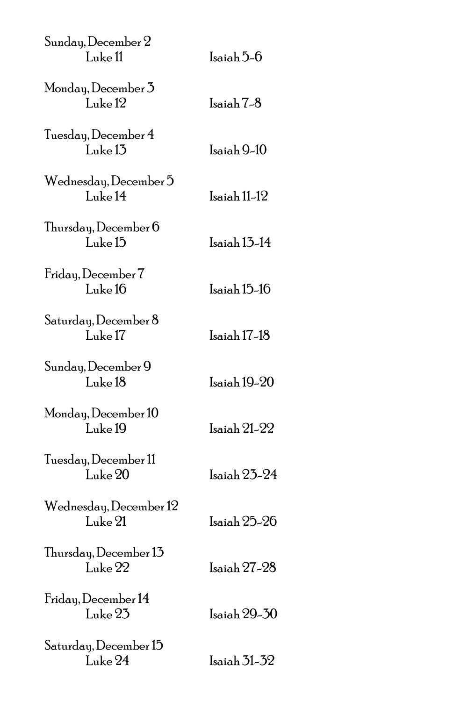| Sunday, December 2<br>Luke <sub>11</sub>   | Isaiah 5-6   |
|--------------------------------------------|--------------|
| Monday, December 3<br>Luke <sup>12</sup>   | Isaiah 7-8   |
| Tuesday, December 4<br>Luke <sub>13</sub>  | Isaiah 9-10  |
| Wednesday, December 5<br>Luke 14           | Isaiah 11-12 |
| Thursday, December 6<br>Luke <sup>15</sup> | Isaiah 13-14 |
| Friday, December 7<br>Luke 16              | Isaiah 15-16 |
| Saturday, December 8<br>Luke <sub>17</sub> | Isaiah 17-18 |
| Sunday, December 9<br>Luke 18              | Isaiah 19-20 |
| Monday, December 10<br>Luke 19             | Isaiah 21-22 |
| Tuesday, December 11<br>Luke 20            | Isaiah 23-24 |
| Wednesday, December 12<br>Luke 21          | Isaiah 25–26 |
| Thursday, December 13<br>Luke 22           | Isaiah 27–28 |
| Friday, December 14<br>Luke 23             | Isaiah 29-30 |
| Saturday, December 15<br>Luke 24           | Isaiah 31-32 |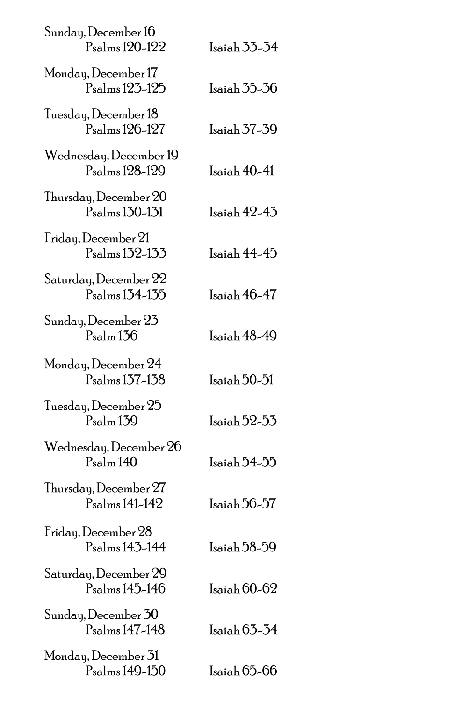| Sunday, December 16<br>Psalms 120-122                | Isaiah 33-34   |
|------------------------------------------------------|----------------|
| Monday, December 17<br>P <sub>salms</sub> 123-125    | Isaiah 35-36   |
| Tuesday, December 18<br>Psalms 126-127               | Isaiah 37-39   |
| Wednesday, December 19<br>P <sub>salms</sub> 128-129 | Isaiah 40-41   |
| Thursday, December 20<br>Psalms 130-131              | Isaiah 42-43   |
| Friday, December 21<br>P <sub>salms</sub> 132-133    | Isaiah 44-45   |
| Saturday, December 22<br>P <sub>salms</sub> 134-135  | Isaiah 46-47   |
| Sunday, December 23<br>$P_{\text{salm}}$ 136         | Isaiah 48-49   |
| Monday, December 24<br>Psalms 137-138                | Isaiah 50-51   |
| Tuesday, December 25<br>$P_{\rm salm}$ 139           | $Isaiah 52-53$ |
| Wednesday, December 26<br>$P_{\rm salm}$ 140         | Isaiah 54-55   |
| Thursday, December 27<br>Psalms 141-142              | Isaiah 56-57   |
| Friday, December 28<br>Psalms 143-144                | Isaiah 58–59   |
| Saturday, December 29<br>Psalms 145-146              | Isaiah 60-62   |
| Sunday, December 30<br>Psalms 147-148                | Isaiah 63–34   |
| Monday, December 31<br>Psalms 149-150                | Isaiah 65-66   |